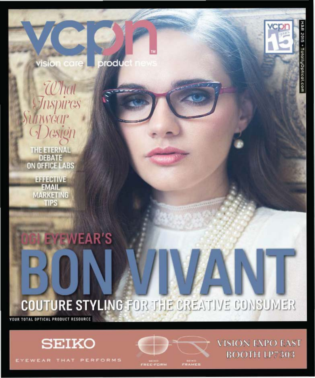visio n care produc



THE ETERNAL<br>DEBATE **ON OFFICE LABS** 

> EFFECTIVE **EMAIL MARKETING TIPS**

# COUTURE STYLING FOR THE CREATIVE CONSUMER

YOUR TOTAL OPTICAL PRODUCT RESOURCE



**YEWEAR'S** 

EYEWEAR THAT PERFORMS



**VISION EXPO EAST BOOTH LP7303**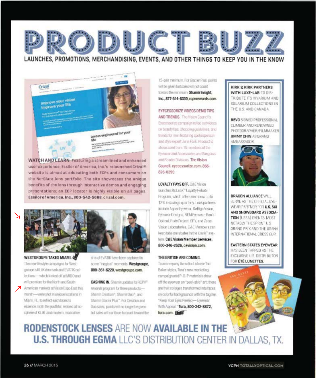

#### LAUNCHES, PROMOTIONS, MERCHANDISING, EVENTS, AND OTHER THINGS TO KEEP YOU IN THE KNOW



WATCH AND LEARN Featuring a streamlined and enhanced user experience, Essilor of America, Inc.'s relaunched Crizal® website is almed at educating both ECPs and consumers on the No-Glare lens portfolio. The site showcases the unique benefits of the lens through interactive demos and engaging presentations; an ECP locator is highly visible on all pages. Essilor of America, Inc., 800-542-5668, crizal.com.



WESTGROUPE TAKES MIAMI. The new ifestyle campaigns for Westgroupe's KLIK denmark and EVATIK collections-which kicked off at MIDD and will premiere for the North and South American markets at Vision Expo East this month-were shot in unique locations in Mami, FL, to reflect each brand's essence. Both the youthful, relaxed atmosphere of KLIK and modern, masculine

chic of EVATIK have been captured in some "magical" moments. Westgroupe, 800-361-6220, westgroupe.com.

**CASHING IN.** Shamir updates its RCPV<sup>®</sup> rewards program for three products-Shamir Creation®, Shamir Duo®, and Shamir Glacier Plus" For Creation and Duo sales, points will no longer be given: but sales will continue to count toward the

15-pair minimum. For Glacier Plus: points will be given but sales will not count. toward the minimum. Shamir Insight, Inc., 877-514-8330, rcpvrewards.com.

#### EYECESSORIZE VIDEOS DEMO TIPS

AND TRENDS. The Vision Council's Eyecessorize campaign rolled out videos on beauty tos, shopping guidelines, and trends for men featuring spokespenson and style expert Jerm Falik. Product is showcased from 15 members of the Eyrovaner and Accessories and Sunglassand Reader Divisions. The Vision Council, eyecessorize.com, 866-826-0290.

#### **LOYALTY PAYS OFF. C&E Vision**

launches its Look" Loyalty Rebate Program, which offers members up to 12% in savings quarterly. Look partners include Aspex Eyewear, DeRigo Vision, Eyewear Designs, REM Eyewear, Ron's Optical, Rudy Project, SPY, and Zeiss Vision Laboratories. C&E Members can keep tabs on rebates in the Bank" system. C&E Vision Member Services. 800-346-2626, cevision.com.

#### THE BRITISH ARE COMING.

To accompany the rollout of new Ted Baker styles, Tura's new marketing campaign and P-O-P materials show. off the eyewear on "peel-able" art; there are fruit collages transformed into faces on colorful backgrounds with the tagine: "Keep Your Eyes Peeled- Eyewear With Appeal." Tura, 800-242-8872, tura.com.

#### **KIRK & KIRK PARTNERS** WITH LUXE-LAB TO DIS-

TRIBUTE ITS VIVARIUM AND SOLARIUM COLLECTIONS IN THE U.S. AND CANADA.

**REVO** SIGNED PROFESSIONAL CLIMBER AND RENOWNED PHOTOGRAPHER/FILMMAKER **JIMMY CHIN AS BRAND** AMBASSADOR



DRAGON ALLIANCE WILL SERVE AS THE OFFICIAL EYE-WEAR PARTNER FOR U.S. SKI AND SNOWBOARD ASSOCIA-**TION [USSA] EVENTS, MDST** NOTABLY THE SPRINT U.S. GRAND PRIX AND THE USANA INTERNATIONAL CROSS CUP.

**EASTERN STATES EVEWEAR** HAS BEEN TAPPED AS THE EXCLUSIVE U.S. DISTRIBUTOR FOR ETÉ LUNETTES.

### **RODENSTOCK LENSES ARE NOW AVAILABLE IN THE U.S. THROUGH EGMA** LLC'S DISTRIBUTION CENTER IN DALLAS, TX.